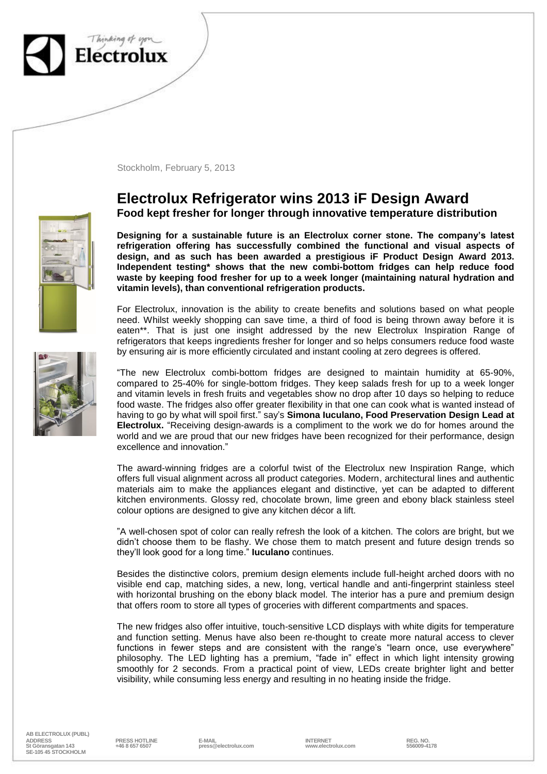

Stockholm, February 5, 2013

## **Electrolux Refrigerator wins 2013 iF Design Award Food kept fresher for longer through innovative temperature distribution**

**Designing for a sustainable future is an Electrolux corner stone. The company's latest refrigeration offering has successfully combined the functional and visual aspects of design, and as such has been awarded a prestigious iF Product Design Award 2013. Independent testing\* shows that the new combi-bottom fridges can help reduce food waste by keeping food fresher for up to a week longer (maintaining natural hydration and vitamin levels), than conventional refrigeration products.**

For Electrolux, innovation is the ability to create benefits and solutions based on what people need. Whilst weekly shopping can save time, a third of food is being thrown away before it is eaten\*\*. That is just one insight addressed by the new Electrolux Inspiration Range of refrigerators that keeps ingredients fresher for longer and so helps consumers reduce food waste by ensuring air is more efficiently circulated and instant cooling at zero degrees is offered.

"The new Electrolux combi-bottom fridges are designed to maintain humidity at 65-90%, compared to 25-40% for single-bottom fridges. They keep salads fresh for up to a week longer and vitamin levels in fresh fruits and vegetables show no drop after 10 days so helping to reduce food waste. The fridges also offer greater flexibility in that one can cook what is wanted instead of having to go by what will spoil first." say's **Simona Iuculano, Food Preservation Design Lead at Electrolux.** "Receiving design-awards is a compliment to the work we do for homes around the world and we are proud that our new fridges have been recognized for their performance, design excellence and innovation."

The award-winning fridges are a colorful twist of the Electrolux new Inspiration Range, which offers full visual alignment across all product categories. Modern, architectural lines and authentic materials aim to make the appliances elegant and distinctive, yet can be adapted to different kitchen environments. Glossy red, chocolate brown, lime green and ebony black stainless steel colour options are designed to give any kitchen décor a lift.

"A well-chosen spot of color can really refresh the look of a kitchen. The colors are bright, but we didn't choose them to be flashy. We chose them to match present and future design trends so they'll look good for a long time." **Iuculano** continues.

Besides the distinctive colors, premium design elements include full-height arched doors with no visible end cap, matching sides, a new, long, vertical handle and anti-fingerprint stainless steel with horizontal brushing on the ebony black model. The interior has a pure and premium design that offers room to store all types of groceries with different compartments and spaces.

The new fridges also offer intuitive, touch-sensitive LCD displays with white digits for temperature and function setting. Menus have also been re-thought to create more natural access to clever functions in fewer steps and are consistent with the range's "learn once, use everywhere" philosophy. The LED lighting has a premium, "fade in" effect in which light intensity growing smoothly for 2 seconds. From a practical point of view, LEDs create brighter light and better visibility, while consuming less energy and resulting in no heating inside the fridge.